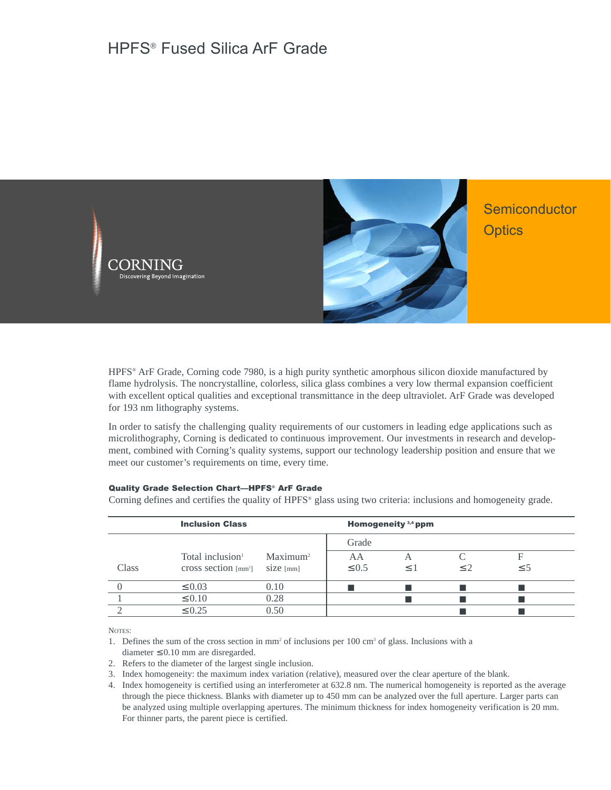

HPFS® ArF Grade, Corning code 7980, is a high purity synthetic amorphous silicon dioxide manufactured by flame hydrolysis. The noncrystalline, colorless, silica glass combines a very low thermal expansion coefficient with excellent optical qualities and exceptional transmittance in the deep ultraviolet. ArF Grade was developed for 193 nm lithography systems.

In order to satisfy the challenging quality requirements of our customers in leading edge applications such as microlithography, Corning is dedicated to continuous improvement. Our investments in research and development, combined with Corning's quality systems, support our technology leadership position and ensure that we meet our customer's requirements on time, every time.

## Quality Grade Selection Chart—HPFS® ArF Grade

Corning defines and certifies the quality of HPFS® glass using two criteria: inclusions and homogeneity grade.

|              | <b>Inclusion Class</b>       |                      |            | Homogeneity $3,4$ ppm |           |          |  |
|--------------|------------------------------|----------------------|------------|-----------------------|-----------|----------|--|
|              |                              |                      | Grade      |                       |           |          |  |
|              | Total inclusion <sup>1</sup> | Maximum <sup>2</sup> | AA         |                       |           | F        |  |
| <b>Class</b> | cross section ${\rm [mm^2]}$ | $size$ [mm]          | $\leq 0.5$ | $\leq$ 1              | $\leq$ 2. | $\leq$ 5 |  |
|              | $\leq 0.03$                  | 0.10                 |            |                       |           |          |  |
|              | $\leq 0.10$                  | 0.28                 |            |                       |           |          |  |
|              | $\leq 0.25$                  | 0.50                 |            |                       |           |          |  |

NOTES:

1. Defines the sum of the cross section in mm<sup>2</sup> of inclusions per  $100 \text{ cm}^3$  of glass. Inclusions with a

- diameter  $\leq 0.10$  mm are disregarded.
- 2. Refers to the diameter of the largest single inclusion.
- 3. Index homogeneity: the maximum index variation (relative), measured over the clear aperture of the blank.
- 4. Index homogeneity is certified using an interferometer at 632.8 nm. The numerical homogeneity is reported as the average through the piece thickness. Blanks with diameter up to 450 mm can be analyzed over the full aperture. Larger parts can be analyzed using multiple overlapping apertures. The minimum thickness for index homogeneity verification is 20 mm. For thinner parts, the parent piece is certified.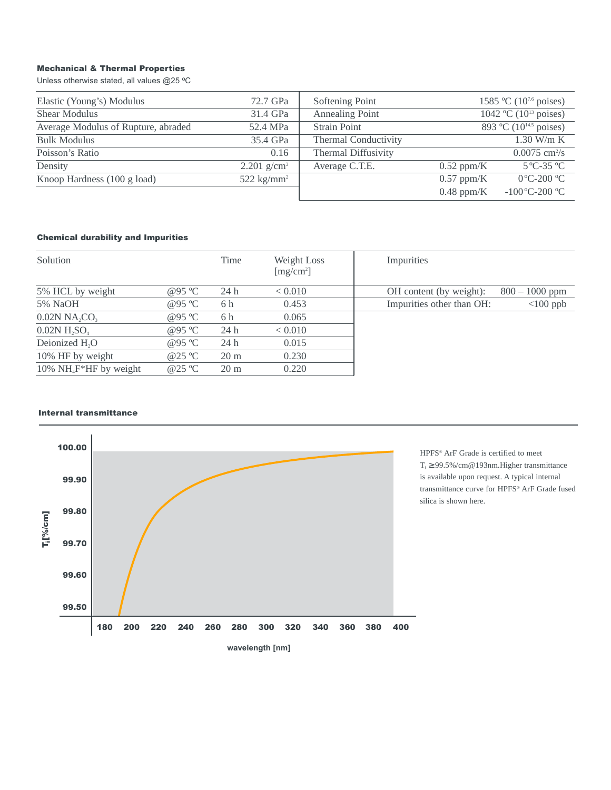# Mechanical & Thermal Properties

Unless otherwise stated, all values @25 ºC

| Elastic (Young's) Modulus           | 72.7 GPa                  | Softening Point             | 1585 °C (10 <sup>7.6</sup> poises) |                                    |
|-------------------------------------|---------------------------|-----------------------------|------------------------------------|------------------------------------|
| <b>Shear Modulus</b>                | 31.4 GPa                  | Annealing Point             |                                    | 1042 °C (10 <sup>13</sup> poises)  |
| Average Modulus of Rupture, abraded | 52.4 MPa                  | <b>Strain Point</b>         |                                    | 893 °C (10 <sup>14.5</sup> poises) |
| <b>Bulk Modulus</b>                 | 35.4 GPa                  | <b>Thermal Conductivity</b> |                                    | $1.30$ W/m K                       |
| Poisson's Ratio                     | 0.16                      | <b>Thermal Diffusivity</b>  |                                    | $0.0075$ cm <sup>2</sup> /s        |
| Density                             | $2.201$ g/cm <sup>3</sup> | Average C.T.E.              | $0.52$ ppm/K                       | $5^{\circ}$ C-35 $^{\circ}$ C      |
| Knoop Hardness (100 g load)         | $522 \text{ kg/mm}^2$     |                             | $0.57$ ppm/K                       | $0^{\circ}$ C-200 $^{\circ}$ C     |
|                                     |                           |                             | $0.48$ ppm/K                       | $-100^{\circ}$ C $-200^{\circ}$ C  |

# Chemical durability and Impurities

| Solution                                |                  | Time           | Weight Loss<br>[mg/cm <sup>2</sup> ] | Impurities                |                  |
|-----------------------------------------|------------------|----------------|--------------------------------------|---------------------------|------------------|
| 5% HCL by weight                        | @95 $\degree$ C  | 24h            | < 0.010                              | OH content (by weight):   | $800 - 1000$ ppm |
| 5% NaOH                                 | @95 $\degree$ C  | 6 h            | 0.453                                | Impurities other than OH: | $<$ 100 ppb      |
| $0.02N$ NA <sub>2</sub> CO <sub>3</sub> | @95 $\degree$ C  | 6 h            | 0.065                                |                           |                  |
| $0.02N$ H <sub>2</sub> SO <sub>4</sub>  | @95 $\degree$ C  | 24h            | < 0.010                              |                           |                  |
| Deionized H <sub>2</sub> O              | @95 $\degree$ C  | 24h            | 0.015                                |                           |                  |
| 10% HF by weight                        | @ $25^{\circ}$ C | $20 \text{ m}$ | 0.230                                |                           |                  |
| 10% $NH_4F^*HF$ by weight               | @ $25^{\circ}$ C | $20 \text{ m}$ | 0.220                                |                           |                  |

## Internal transmittance



HPFS® ArF Grade is certified to meet T<sub>i</sub> ≥ 99.5%/cm@193nm.Higher transmittance is available upon request. A typical internal transmittance curve for HPFS® ArF Grade fused silica is shown here.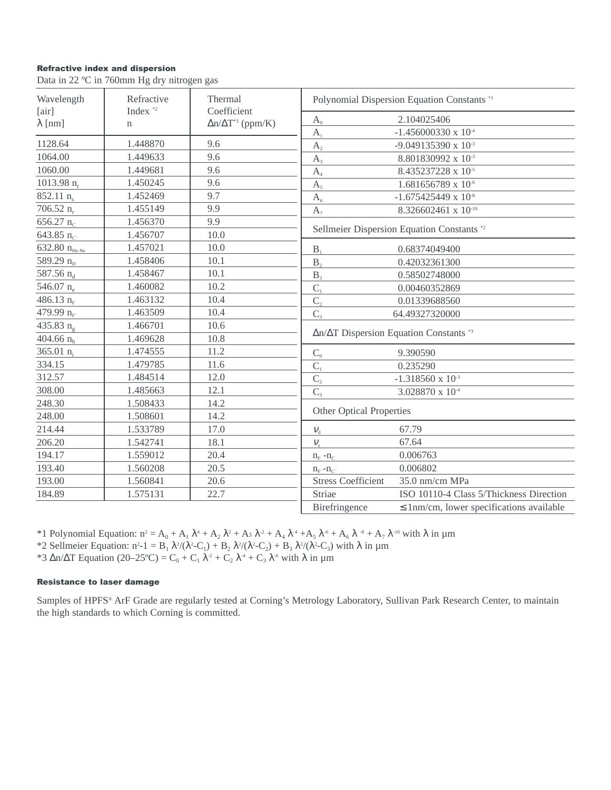# **Refractive index and dispersion**

Data in 22 °C in 760mm Hg dry nitrogen gas

| Wavelength              | Refractive<br>Thermal |                                                 | Polynomial Dispersion Equation Constants *1                    |  |  |
|-------------------------|-----------------------|-------------------------------------------------|----------------------------------------------------------------|--|--|
| [air]<br>$\lambda$ [nm] | Index <sup>*2</sup>   | Coefficient<br>$\Delta n/\Delta T^{*3}$ (ppm/K) | 2.104025406<br>$A_0$                                           |  |  |
|                         | $\mathbf n$           |                                                 | $-1.456000330 \times 10^{-4}$<br>A <sub>1</sub>                |  |  |
| 1128.64                 | 1.448870              | 9.6                                             | A <sub>2</sub><br>-9.049135390 x 10 <sup>-3</sup>              |  |  |
| 1064.00                 | 1.449633              | 9.6                                             | 8.801830992 x 10-3<br>A <sub>3</sub>                           |  |  |
| 1060.00                 | 1.449681              | 9.6                                             | 8.435237228 x 10-5<br>A <sub>4</sub>                           |  |  |
| 1013.98 $n_t$           | 1.450245              | 9.6                                             | $1.681656789 \times 10^{-6}$<br>A <sub>5</sub>                 |  |  |
| $852.11 \text{ n}$      | 1.452469              | 9.7                                             | $-1.675425449 \times 10^{-8}$<br>A <sub>6</sub>                |  |  |
| 706.52 $n_r$            | 1.455149              | 9.9                                             | 8.326602461 x 10-10<br>$A_7$                                   |  |  |
| 656.27 $n_c$            | 1.456370              | 9.9                                             |                                                                |  |  |
| 643.85 $n_{C}$          | 1.456707              | 10.0                                            | Sellmeier Dispersion Equation Constants *2                     |  |  |
| 632.80 $n_{He-Ne}$      | 1.457021              | 10.0                                            | B <sub>1</sub><br>0.68374049400                                |  |  |
| 589.29 $n_{D}$          | 1.458406              | 10.1                                            | B <sub>2</sub><br>0.42032361300                                |  |  |
| 587.56 n <sub>d</sub>   | 1.458467              | 10.1                                            | B <sub>3</sub><br>0.58502748000                                |  |  |
| 546.07 n                | 1.460082              | 10.2                                            | $C_1$<br>0.00460352869                                         |  |  |
| 486.13 $n_F$            | 1.463132              | 10.4                                            | $C_{2}$<br>0.01339688560                                       |  |  |
| 479.99 n <sub>F</sub>   | 1.463509              | 10.4                                            | $C_{3}$<br>64.49327320000                                      |  |  |
| 435.83 $n_{\alpha}$     | 1.466701              | 10.6                                            |                                                                |  |  |
| 404.66 $n_h$            | 1.469628              | 10.8                                            | $\Delta n/\Delta T$ Dispersion Equation Constants *3           |  |  |
| 365.01 $n_i$            | 1.474555              | 11.2                                            | $C_{0}$<br>9.390590                                            |  |  |
| 334.15                  | 1.479785              | 11.6                                            | $C_{1}$<br>0.235290                                            |  |  |
| 312.57                  | 1.484514              | 12.0                                            | $\overline{C_2}$<br>$-1.318560 \times 10^{-3}$                 |  |  |
| 308.00                  | 1.485663              | 12.1                                            | $C_{3}$<br>3.028870 x 10 <sup>-4</sup>                         |  |  |
| 248.30                  | 1.508433              | 14.2                                            |                                                                |  |  |
| 248.00                  | 1.508601              | 14.2                                            | <b>Other Optical Properties</b>                                |  |  |
| 214.44                  | 1.533789              | 17.0                                            | 67.79<br>$V_{d}$                                               |  |  |
| 206.20                  | 1.542741              | 18.1                                            | 67.64<br>$V_{\rm e}$                                           |  |  |
| 194.17                  | 1.559012              | 20.4                                            | 0.006763<br>$n_F - n_C$                                        |  |  |
| 193.40                  | 1.560208              | 20.5                                            | 0.006802<br>$n_{\rm F}$ - $n_{\rm C}$ .                        |  |  |
| 193.00                  | 1.560841              | 20.6                                            | <b>Stress Coefficient</b><br>35.0 nm/cm MPa                    |  |  |
| 184.89                  | 1.575131              | 22.7                                            | Striae<br>ISO 10110-4 Class 5/Thickness Direction              |  |  |
|                         |                       |                                                 | Birefringence<br>$\leq$ 1nm/cm, lower specifications available |  |  |

\*1 Polynomial Equation:  $n^2 = A_0 + A_1 \lambda^4 + A_2 \lambda^2 + A_3 \lambda^2 + A_4 \lambda^4 + A_5 \lambda^6 + A_6 \lambda^8 + A_7 \lambda^{10}$  with  $\lambda$  in  $\mu$ m<br>\*2 Sellmeier Equation:  $n^2 - 1 = B_1 \lambda^2/(\lambda^2 - C_1) + B_2 \lambda^2/(\lambda^2 - C_2) + B_3 \lambda^2/(\lambda^2 - C_3)$  with  $\lambda$  in  $\mu$ m

\*3  $\Delta n/\Delta T$  Equation (20–25°C) = C<sub>0</sub> + C<sub>1</sub>  $\lambda^2$  + C<sub>2</sub>  $\lambda^4$  + C<sub>3</sub>  $\lambda^6$  with  $\lambda$  in  $\mu$ m

# **Resistance to laser damage**

Samples of HPFS® ArF Grade are regularly tested at Corning's Metrology Laboratory, Sullivan Park Research Center, to maintain the high standards to which Corning is committed.